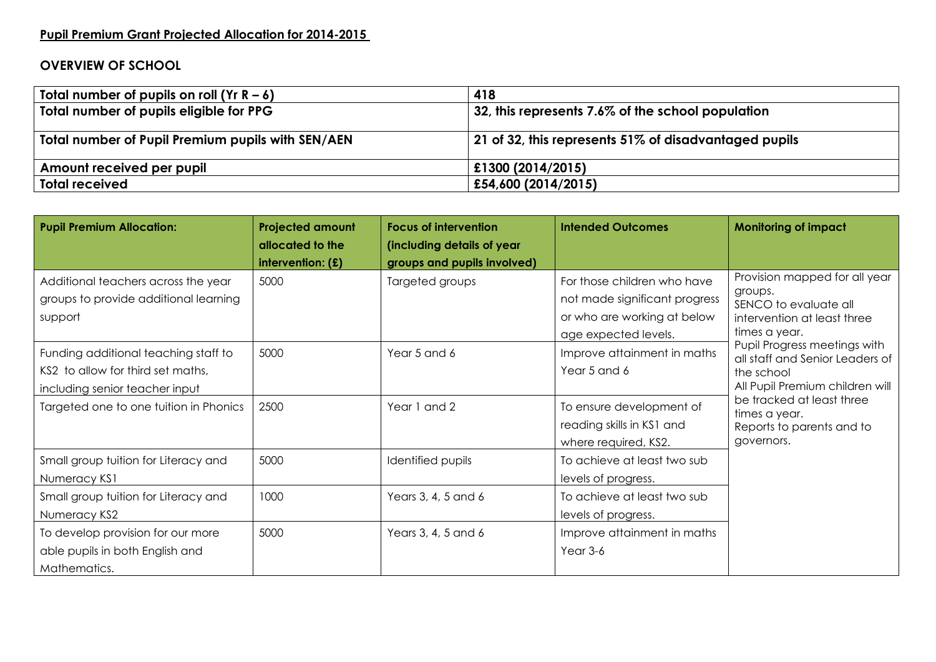## **Pupil Premium Grant Projected Allocation for 2014-2015**

## **OVERVIEW OF SCHOOL**

| Total number of pupils on roll $(Yr R - 6)$       | 418                                                   |
|---------------------------------------------------|-------------------------------------------------------|
| Total number of pupils eligible for PPG           | 32, this represents 7.6% of the school population     |
|                                                   |                                                       |
| Total number of Pupil Premium pupils with SEN/AEN | 21 of 32, this represents 51% of disadvantaged pupils |
| Amount received per pupil                         | £1300 (2014/2015)                                     |
| <b>Total received</b>                             | £54,600 (2014/2015)                                   |

| <b>Pupil Premium Allocation:</b>                                                                            | <b>Projected amount</b><br>allocated to the | <b>Focus of intervention</b><br>(including details of year | <b>Intended Outcomes</b>                                                                                            | <b>Monitoring of impact</b>                                                                                                                                                                                                                                                                                                    |
|-------------------------------------------------------------------------------------------------------------|---------------------------------------------|------------------------------------------------------------|---------------------------------------------------------------------------------------------------------------------|--------------------------------------------------------------------------------------------------------------------------------------------------------------------------------------------------------------------------------------------------------------------------------------------------------------------------------|
|                                                                                                             | intervention: $(f)$                         | groups and pupils involved)                                |                                                                                                                     |                                                                                                                                                                                                                                                                                                                                |
| Additional teachers across the year<br>groups to provide additional learning<br>support                     | 5000                                        | Targeted groups                                            | For those children who have<br>not made significant progress<br>or who are working at below<br>age expected levels. | Provision mapped for all year<br>groups.<br>SENCO to evaluate all<br>intervention at least three<br>times a year.<br>Pupil Progress meetings with<br>all staff and Senior Leaders of<br>the school<br>All Pupil Premium children will<br>be tracked at least three<br>times a year.<br>Reports to parents and to<br>governors. |
| Funding additional teaching staff to<br>KS2 to allow for third set maths,<br>including senior teacher input | 5000                                        | Year 5 and 6                                               | Improve attainment in maths<br>Year 5 and 6                                                                         |                                                                                                                                                                                                                                                                                                                                |
| Targeted one to one tuition in Phonics                                                                      | 2500                                        | Year 1 and 2                                               | To ensure development of<br>reading skills in KS1 and<br>where required, KS2.                                       |                                                                                                                                                                                                                                                                                                                                |
| Small group tuition for Literacy and<br>Numeracy KS1                                                        | 5000                                        | Identified pupils                                          | To achieve at least two sub<br>levels of progress.                                                                  |                                                                                                                                                                                                                                                                                                                                |
| Small group tuition for Literacy and<br>Numeracy KS2                                                        | 1000                                        | Years 3, 4, 5 and 6                                        | To achieve at least two sub<br>levels of progress.                                                                  |                                                                                                                                                                                                                                                                                                                                |
| To develop provision for our more<br>able pupils in both English and<br>Mathematics.                        | 5000                                        | Years 3, 4, 5 and 6                                        | Improve attainment in maths<br>Year 3-6                                                                             |                                                                                                                                                                                                                                                                                                                                |